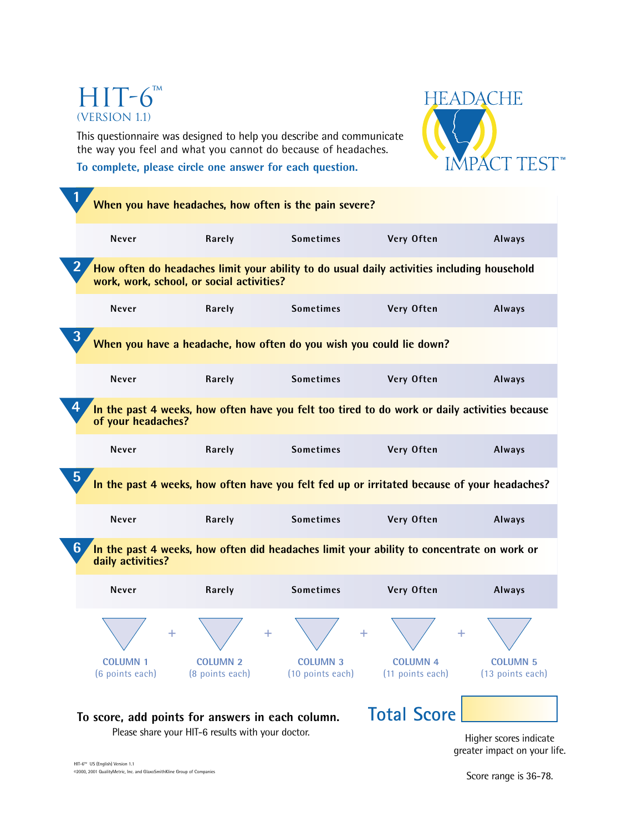# HIT-6™ (Version 1.1)

This questionnaire was designed to help you describe and communicate the way you feel and what you cannot do because of headaches. **To complete, please circle one answer for each question.**



| 1                                                                                                                        |                                                   | When you have headaches, how often is the pain severe?                                     |                                     |                                     |
|--------------------------------------------------------------------------------------------------------------------------|---------------------------------------------------|--------------------------------------------------------------------------------------------|-------------------------------------|-------------------------------------|
| <b>Never</b>                                                                                                             | Rarely                                            | <b>Sometimes</b>                                                                           | Very Often                          | Always                              |
| $\bf{2}$<br>work, work, school, or social activities?                                                                    |                                                   | How often do headaches limit your ability to do usual daily activities including household |                                     |                                     |
| Never                                                                                                                    | Rarely                                            | <b>Sometimes</b>                                                                           | Very Often                          | Always                              |
| 3<br>When you have a headache, how often do you wish you could lie down?                                                 |                                                   |                                                                                            |                                     |                                     |
| Never                                                                                                                    | Rarely                                            | <b>Sometimes</b>                                                                           | Very Often                          | Always                              |
| 4<br>In the past 4 weeks, how often have you felt too tired to do work or daily activities because<br>of your headaches? |                                                   |                                                                                            |                                     |                                     |
| Never                                                                                                                    | Rarely                                            | <b>Sometimes</b>                                                                           | Very Often                          | Always                              |
| 5<br>In the past 4 weeks, how often have you felt fed up or irritated because of your headaches?                         |                                                   |                                                                                            |                                     |                                     |
| Never                                                                                                                    | Rarely                                            | <b>Sometimes</b>                                                                           | Very Often                          | Always                              |
| 6<br>In the past 4 weeks, how often did headaches limit your ability to concentrate on work or<br>daily activities?      |                                                   |                                                                                            |                                     |                                     |
| Never                                                                                                                    | Rarely                                            | <b>Sometimes</b>                                                                           | Very Often                          | Always                              |
|                                                                                                                          |                                                   |                                                                                            |                                     |                                     |
| <b>COLUMN 1</b><br>(6 points each)                                                                                       | <b>COLUMN 2</b><br>(8 points each)                | <b>CULUIVIIV 3</b><br>(10 points each)                                                     | <b>COLUMN 4</b><br>(11 points each) | <b>COLUMN 5</b><br>(13 points each) |
| To score, add points for answers in each column.                                                                         | Please share your HIT-6 results with your doctor. |                                                                                            | <b>Total Score</b>                  |                                     |
|                                                                                                                          |                                                   |                                                                                            |                                     | Higher scores indicate              |

greater impact on your life.